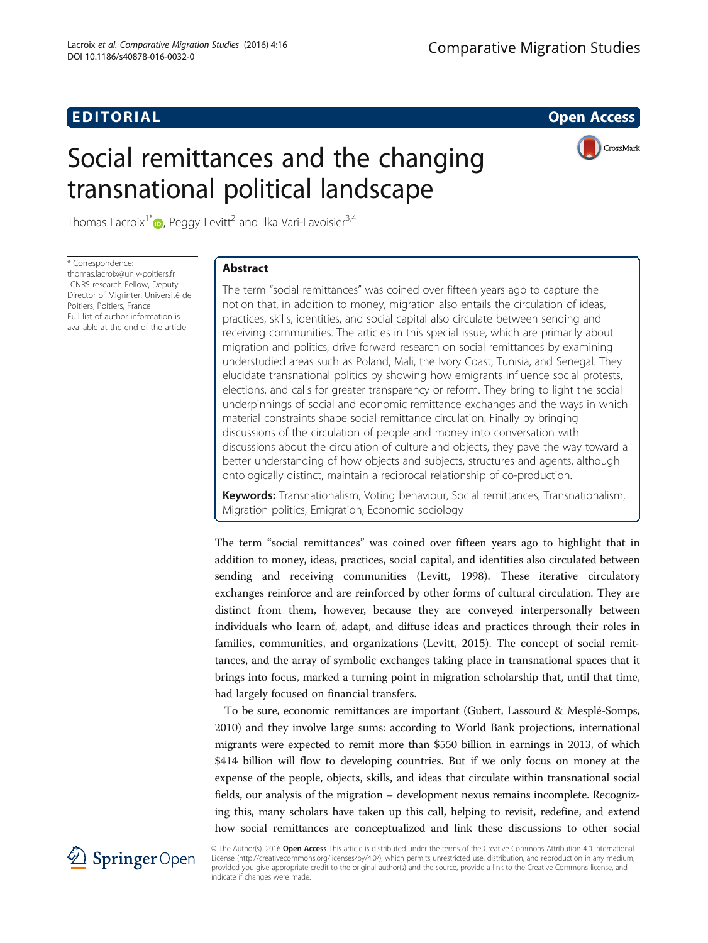# **EDITORIAL** CONTROL CONTROL CONTROL CONTROL CONTROL CONTROL CONTROL CONTROL CONTROL CONTROL CONTROL CONTROL CONTROL CONTROL CONTROL CONTROL CONTROL CONTROL CONTROL CONTROL CONTROL CONTROL CONTROL CONTROL CONTROL CONTROL CO

# Social remittances and the changing transnational political landscape



Thomas Lacroix<sup>1\*</sup> $\bullet$ , Peggy Levitt<sup>2</sup> and Ilka Vari-Lavoisier<sup>3,4</sup>

\* Correspondence: [thomas.lacroix@univ-poitiers.fr](mailto:thomas.lacroix@univ-poitiers.fr) <sup>1</sup> CNRS research Fellow, Deputy Director of Migrinter, Université de Poitiers, Poitiers, France Full list of author information is available at the end of the article

# Abstract

The term "social remittances" was coined over fifteen years ago to capture the notion that, in addition to money, migration also entails the circulation of ideas, practices, skills, identities, and social capital also circulate between sending and receiving communities. The articles in this special issue, which are primarily about migration and politics, drive forward research on social remittances by examining understudied areas such as Poland, Mali, the Ivory Coast, Tunisia, and Senegal. They elucidate transnational politics by showing how emigrants influence social protests, elections, and calls for greater transparency or reform. They bring to light the social underpinnings of social and economic remittance exchanges and the ways in which material constraints shape social remittance circulation. Finally by bringing discussions of the circulation of people and money into conversation with discussions about the circulation of culture and objects, they pave the way toward a better understanding of how objects and subjects, structures and agents, although ontologically distinct, maintain a reciprocal relationship of co-production.

Keywords: Transnationalism, Voting behaviour, Social remittances, Transnationalism, Migration politics, Emigration, Economic sociology

The term "social remittances" was coined over fifteen years ago to highlight that in addition to money, ideas, practices, social capital, and identities also circulated between sending and receiving communities (Levitt, [1998](#page-4-0)). These iterative circulatory exchanges reinforce and are reinforced by other forms of cultural circulation. They are distinct from them, however, because they are conveyed interpersonally between individuals who learn of, adapt, and diffuse ideas and practices through their roles in families, communities, and organizations (Levitt, [2015](#page-4-0)). The concept of social remittances, and the array of symbolic exchanges taking place in transnational spaces that it brings into focus, marked a turning point in migration scholarship that, until that time, had largely focused on financial transfers.

To be sure, economic remittances are important (Gubert, Lassourd & Mesplé-Somps, [2010](#page-4-0)) and they involve large sums: according to World Bank projections, international migrants were expected to remit more than \$550 billion in earnings in 2013, of which \$414 billion will flow to developing countries. But if we only focus on money at the expense of the people, objects, skills, and ideas that circulate within transnational social fields, our analysis of the migration – development nexus remains incomplete. Recognizing this, many scholars have taken up this call, helping to revisit, redefine, and extend how social remittances are conceptualized and link these discussions to other social



© The Author(s). 2016 Open Access This article is distributed under the terms of the Creative Commons Attribution 4.0 International License [\(http://creativecommons.org/licenses/by/4.0/](http://creativecommons.org/licenses/by/4.0/)), which permits unrestricted use, distribution, and reproduction in any medium, provided you give appropriate credit to the original author(s) and the source, provide a link to the Creative Commons license, and indicate if changes were made.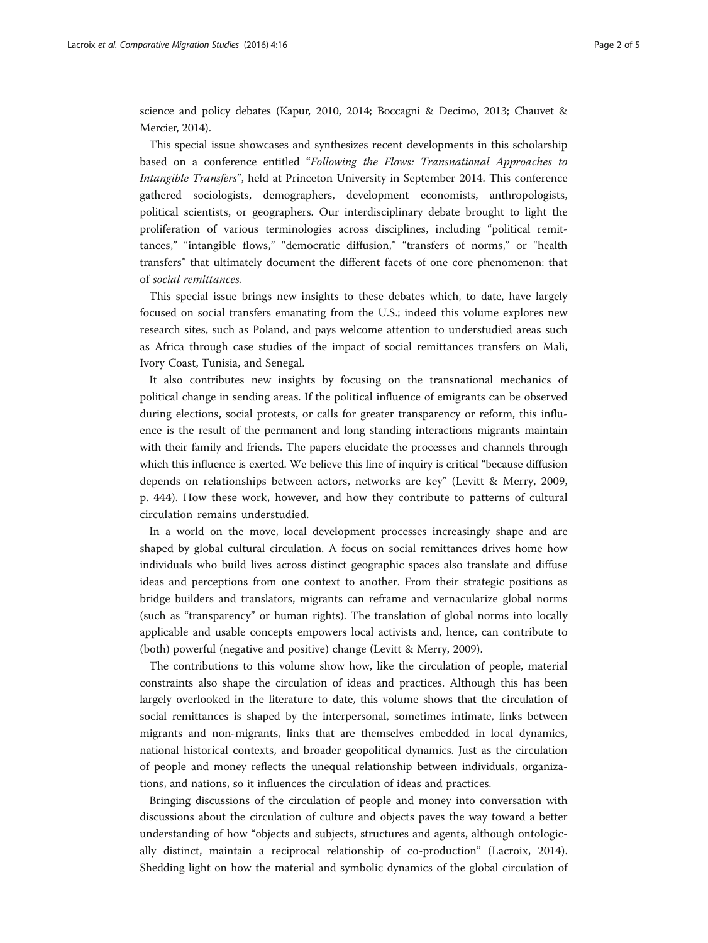science and policy debates (Kapur, [2010](#page-4-0), [2014;](#page-4-0) Boccagni & Decimo, [2013](#page-4-0); Chauvet & Mercier, [2014](#page-4-0)).

This special issue showcases and synthesizes recent developments in this scholarship based on a conference entitled "Following the Flows: Transnational Approaches to Intangible Transfers", held at Princeton University in September 2014. This conference gathered sociologists, demographers, development economists, anthropologists, political scientists, or geographers. Our interdisciplinary debate brought to light the proliferation of various terminologies across disciplines, including "political remittances," "intangible flows," "democratic diffusion," "transfers of norms," or "health transfers" that ultimately document the different facets of one core phenomenon: that of social remittances.

This special issue brings new insights to these debates which, to date, have largely focused on social transfers emanating from the U.S.; indeed this volume explores new research sites, such as Poland, and pays welcome attention to understudied areas such as Africa through case studies of the impact of social remittances transfers on Mali, Ivory Coast, Tunisia, and Senegal.

It also contributes new insights by focusing on the transnational mechanics of political change in sending areas. If the political influence of emigrants can be observed during elections, social protests, or calls for greater transparency or reform, this influence is the result of the permanent and long standing interactions migrants maintain with their family and friends. The papers elucidate the processes and channels through which this influence is exerted. We believe this line of inquiry is critical "because diffusion depends on relationships between actors, networks are key" (Levitt & Merry, [2009](#page-4-0), p. 444). How these work, however, and how they contribute to patterns of cultural circulation remains understudied.

In a world on the move, local development processes increasingly shape and are shaped by global cultural circulation. A focus on social remittances drives home how individuals who build lives across distinct geographic spaces also translate and diffuse ideas and perceptions from one context to another. From their strategic positions as bridge builders and translators, migrants can reframe and vernacularize global norms (such as "transparency" or human rights). The translation of global norms into locally applicable and usable concepts empowers local activists and, hence, can contribute to (both) powerful (negative and positive) change (Levitt & Merry, [2009\)](#page-4-0).

The contributions to this volume show how, like the circulation of people, material constraints also shape the circulation of ideas and practices. Although this has been largely overlooked in the literature to date, this volume shows that the circulation of social remittances is shaped by the interpersonal, sometimes intimate, links between migrants and non-migrants, links that are themselves embedded in local dynamics, national historical contexts, and broader geopolitical dynamics. Just as the circulation of people and money reflects the unequal relationship between individuals, organizations, and nations, so it influences the circulation of ideas and practices.

Bringing discussions of the circulation of people and money into conversation with discussions about the circulation of culture and objects paves the way toward a better understanding of how "objects and subjects, structures and agents, although ontologically distinct, maintain a reciprocal relationship of co-production" (Lacroix, [2014](#page-4-0)). Shedding light on how the material and symbolic dynamics of the global circulation of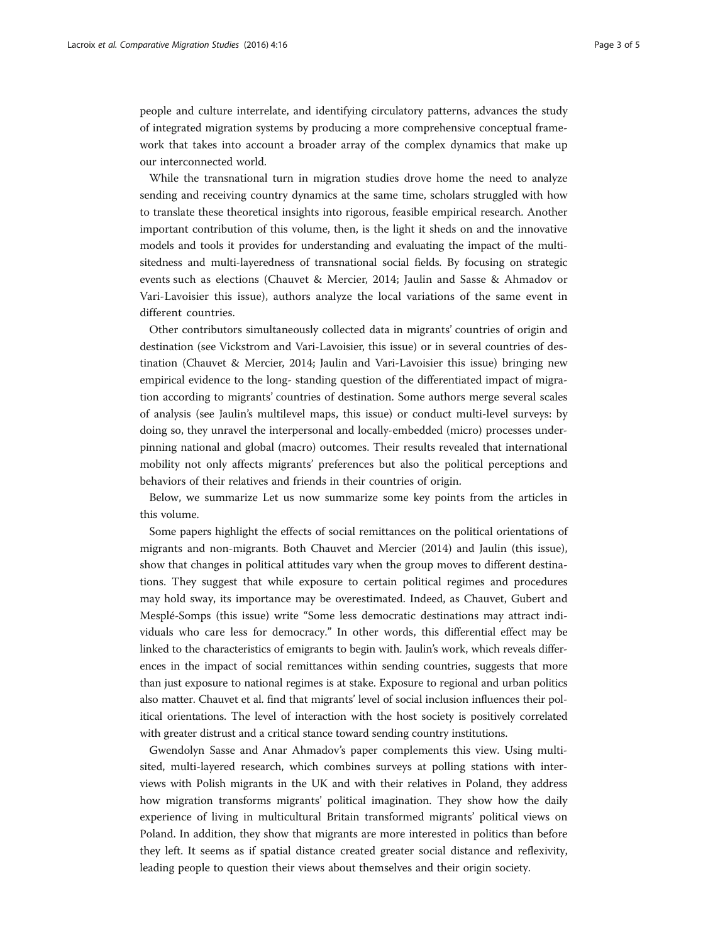people and culture interrelate, and identifying circulatory patterns, advances the study of integrated migration systems by producing a more comprehensive conceptual framework that takes into account a broader array of the complex dynamics that make up our interconnected world.

While the transnational turn in migration studies drove home the need to analyze sending and receiving country dynamics at the same time, scholars struggled with how to translate these theoretical insights into rigorous, feasible empirical research. Another important contribution of this volume, then, is the light it sheds on and the innovative models and tools it provides for understanding and evaluating the impact of the multisitedness and multi-layeredness of transnational social fields. By focusing on strategic events such as elections (Chauvet & Mercier, [2014;](#page-4-0) Jaulin and Sasse & Ahmadov or Vari-Lavoisier this issue), authors analyze the local variations of the same event in different countries.

Other contributors simultaneously collected data in migrants' countries of origin and destination (see Vickstrom and Vari-Lavoisier, this issue) or in several countries of destination (Chauvet & Mercier, [2014](#page-4-0); Jaulin and Vari-Lavoisier this issue) bringing new empirical evidence to the long- standing question of the differentiated impact of migration according to migrants' countries of destination. Some authors merge several scales of analysis (see Jaulin's multilevel maps, this issue) or conduct multi-level surveys: by doing so, they unravel the interpersonal and locally-embedded (micro) processes underpinning national and global (macro) outcomes. Their results revealed that international mobility not only affects migrants' preferences but also the political perceptions and behaviors of their relatives and friends in their countries of origin.

Below, we summarize Let us now summarize some key points from the articles in this volume.

Some papers highlight the effects of social remittances on the political orientations of migrants and non-migrants. Both Chauvet and Mercier ([2014](#page-4-0)) and Jaulin (this issue), show that changes in political attitudes vary when the group moves to different destinations. They suggest that while exposure to certain political regimes and procedures may hold sway, its importance may be overestimated. Indeed, as Chauvet, Gubert and Mesplé-Somps (this issue) write "Some less democratic destinations may attract individuals who care less for democracy." In other words, this differential effect may be linked to the characteristics of emigrants to begin with. Jaulin's work, which reveals differences in the impact of social remittances within sending countries, suggests that more than just exposure to national regimes is at stake. Exposure to regional and urban politics also matter. Chauvet et al. find that migrants' level of social inclusion influences their political orientations. The level of interaction with the host society is positively correlated with greater distrust and a critical stance toward sending country institutions.

Gwendolyn Sasse and Anar Ahmadov's paper complements this view. Using multisited, multi-layered research, which combines surveys at polling stations with interviews with Polish migrants in the UK and with their relatives in Poland, they address how migration transforms migrants' political imagination. They show how the daily experience of living in multicultural Britain transformed migrants' political views on Poland. In addition, they show that migrants are more interested in politics than before they left. It seems as if spatial distance created greater social distance and reflexivity, leading people to question their views about themselves and their origin society.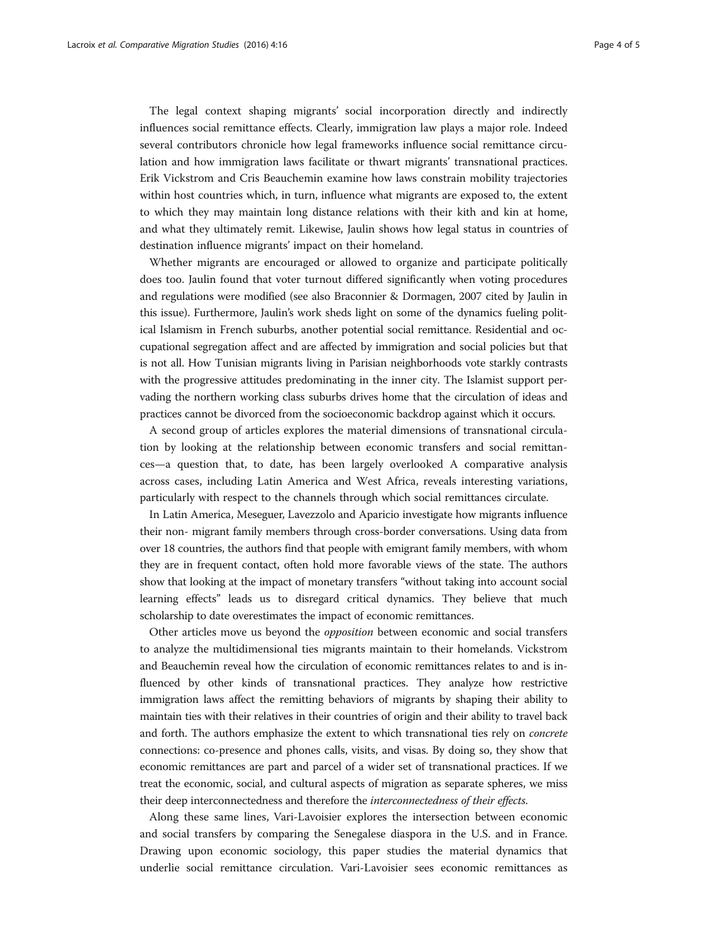The legal context shaping migrants' social incorporation directly and indirectly influences social remittance effects. Clearly, immigration law plays a major role. Indeed several contributors chronicle how legal frameworks influence social remittance circulation and how immigration laws facilitate or thwart migrants' transnational practices. Erik Vickstrom and Cris Beauchemin examine how laws constrain mobility trajectories within host countries which, in turn, influence what migrants are exposed to, the extent to which they may maintain long distance relations with their kith and kin at home, and what they ultimately remit. Likewise, Jaulin shows how legal status in countries of destination influence migrants' impact on their homeland.

Whether migrants are encouraged or allowed to organize and participate politically does too. Jaulin found that voter turnout differed significantly when voting procedures and regulations were modified (see also Braconnier & Dormagen, [2007](#page-4-0) cited by Jaulin in this issue). Furthermore, Jaulin's work sheds light on some of the dynamics fueling political Islamism in French suburbs, another potential social remittance. Residential and occupational segregation affect and are affected by immigration and social policies but that is not all. How Tunisian migrants living in Parisian neighborhoods vote starkly contrasts with the progressive attitudes predominating in the inner city. The Islamist support pervading the northern working class suburbs drives home that the circulation of ideas and practices cannot be divorced from the socioeconomic backdrop against which it occurs.

A second group of articles explores the material dimensions of transnational circulation by looking at the relationship between economic transfers and social remittances—a question that, to date, has been largely overlooked A comparative analysis across cases, including Latin America and West Africa, reveals interesting variations, particularly with respect to the channels through which social remittances circulate.

In Latin America, Meseguer, Lavezzolo and Aparicio investigate how migrants influence their non- migrant family members through cross-border conversations. Using data from over 18 countries, the authors find that people with emigrant family members, with whom they are in frequent contact, often hold more favorable views of the state. The authors show that looking at the impact of monetary transfers "without taking into account social learning effects" leads us to disregard critical dynamics. They believe that much scholarship to date overestimates the impact of economic remittances.

Other articles move us beyond the opposition between economic and social transfers to analyze the multidimensional ties migrants maintain to their homelands. Vickstrom and Beauchemin reveal how the circulation of economic remittances relates to and is influenced by other kinds of transnational practices. They analyze how restrictive immigration laws affect the remitting behaviors of migrants by shaping their ability to maintain ties with their relatives in their countries of origin and their ability to travel back and forth. The authors emphasize the extent to which transnational ties rely on *concrete* connections: co-presence and phones calls, visits, and visas. By doing so, they show that economic remittances are part and parcel of a wider set of transnational practices. If we treat the economic, social, and cultural aspects of migration as separate spheres, we miss their deep interconnectedness and therefore the interconnectedness of their effects.

Along these same lines, Vari-Lavoisier explores the intersection between economic and social transfers by comparing the Senegalese diaspora in the U.S. and in France. Drawing upon economic sociology, this paper studies the material dynamics that underlie social remittance circulation. Vari-Lavoisier sees economic remittances as